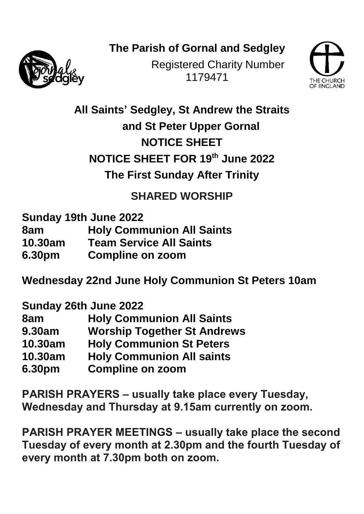**The Parish of Gornal and Sedgley**



Registered Charity Number 1179471



**All Saints' Sedgley, St Andrew the Straits and St Peter Upper Gornal NOTICE SHEET NOTICE SHEET FOR 19 th June 2022 The First Sunday After Trinity** 

**SHARED WORSHIP**

**Sunday 19th June 2022**

- **8am Holy Communion All Saints**
- **10.30am Team Service All Saints**
- **6.30pm Compline on zoom**

**Wednesday 22nd June Holy Communion St Peters 10am**

**Sunday 26th June 2022**

| 8am           | <b>Holy Communion All Saints</b>   |
|---------------|------------------------------------|
| <b>9.30am</b> | <b>Worship Together St Andrews</b> |
| 10.30am       | <b>Holy Communion St Peters</b>    |
| 10.30am       | <b>Holy Communion All saints</b>   |
| 6.30pm        | <b>Compline on zoom</b>            |

**PARISH PRAYERS – usually take place every Tuesday, Wednesday and Thursday at 9.15am currently on zoom.**

**PARISH PRAYER MEETINGS – usually take place the second Tuesday of every month at 2.30pm and the fourth Tuesday of every month at 7.30pm both on zoom.**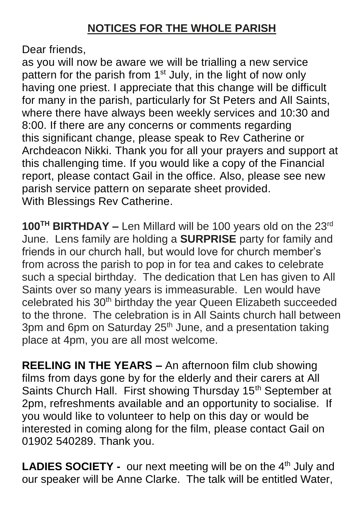Dear friends,

as you will now be aware we will be trialling a new service pattern for the parish from  $1<sup>st</sup>$  July, in the light of now only having one priest. I appreciate that this change will be difficult for many in the parish, particularly for St Peters and All Saints, where there have always been weekly services and 10:30 and 8:00. If there are any concerns or comments regarding this significant change, please speak to Rev Catherine or Archdeacon Nikki. Thank you for all your prayers and support at this challenging time. If you would like a copy of the Financial report, please contact Gail in the office. Also, please see new parish service pattern on separate sheet provided. With Blessings Rev Catherine.

**100TH BIRTHDAY –** Len Millard will be 100 years old on the 23rd June. Lens family are holding a **SURPRISE** party for family and friends in our church hall, but would love for church member's from across the parish to pop in for tea and cakes to celebrate such a special birthday. The dedication that Len has given to All Saints over so many years is immeasurable. Len would have celebrated his 30th birthday the year Queen Elizabeth succeeded to the throne. The celebration is in All Saints church hall between 3pm and 6pm on Saturday 25<sup>th</sup> June, and a presentation taking place at 4pm, you are all most welcome.

**REELING IN THE YEARS –** An afternoon film club showing films from days gone by for the elderly and their carers at All Saints Church Hall. First showing Thursday 15<sup>th</sup> September at 2pm, refreshments available and an opportunity to socialise. If you would like to volunteer to help on this day or would be interested in coming along for the film, please contact Gail on 01902 540289. Thank you.

**LADIES SOCIETY -** our next meeting will be on the 4<sup>th</sup> July and our speaker will be Anne Clarke. The talk will be entitled Water,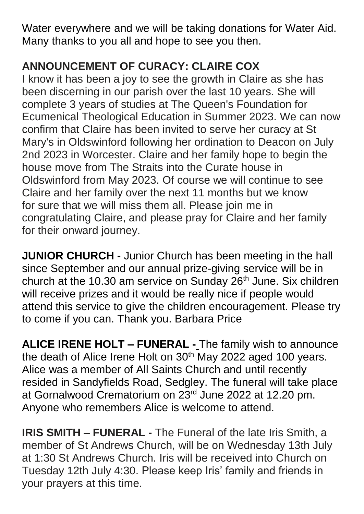Water everywhere and we will be taking donations for Water Aid. Many thanks to you all and hope to see you then.

## **ANNOUNCEMENT OF CURACY: CLAIRE COX**

I know it has been a joy to see the growth in Claire as she has been discerning in our parish over the last 10 years. She will complete 3 years of studies at The Queen's Foundation for Ecumenical Theological Education in Summer 2023. We can now confirm that Claire has been invited to serve her curacy at St Mary's in Oldswinford following her ordination to Deacon on July 2nd 2023 in Worcester. Claire and her family hope to begin the house move from The Straits into the Curate house in Oldswinford from May 2023. Of course we will continue to see Claire and her family over the next 11 months but we know for sure that we will miss them all. Please join me in congratulating Claire, and please pray for Claire and her family for their onward journey.

**JUNIOR CHURCH -** Junior Church has been meeting in the hall since September and our annual prize-giving service will be in church at the 10.30 am service on Sunday 26<sup>th</sup> June. Six children will receive prizes and it would be really nice if people would attend this service to give the children encouragement. Please try to come if you can. Thank you. Barbara Price

**ALICE IRENE HOLT – FUNERAL -** The family wish to announce the death of Alice Irene Holt on 30<sup>th</sup> May 2022 aged 100 years. Alice was a member of All Saints Church and until recently resided in Sandyfields Road, Sedgley. The funeral will take place at Gornalwood Crematorium on 23rd June 2022 at 12.20 pm. Anyone who remembers Alice is welcome to attend.

**IRIS SMITH – FUNERAL -** The Funeral of the late Iris Smith, a member of St Andrews Church, will be on Wednesday 13th July at 1:30 St Andrews Church. Iris will be received into Church on Tuesday 12th July 4:30. Please keep Iris' family and friends in your prayers at this time.